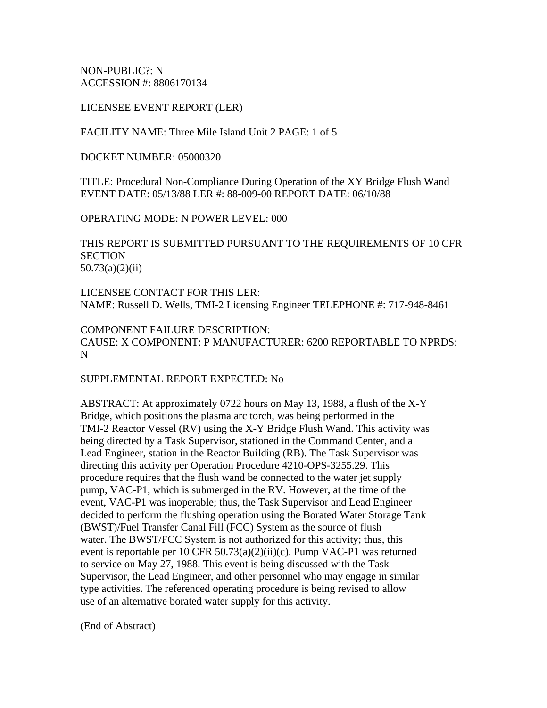NON-PUBLIC?: N ACCESSION #: 8806170134

LICENSEE EVENT REPORT (LER)

FACILITY NAME: Three Mile Island Unit 2 PAGE: 1 of 5

DOCKET NUMBER: 05000320

TITLE: Procedural Non-Compliance During Operation of the XY Bridge Flush Wand EVENT DATE: 05/13/88 LER #: 88-009-00 REPORT DATE: 06/10/88

OPERATING MODE: N POWER LEVEL: 000

THIS REPORT IS SUBMITTED PURSUANT TO THE REQUIREMENTS OF 10 CFR **SECTION** 50.73(a)(2)(ii)

LICENSEE CONTACT FOR THIS LER: NAME: Russell D. Wells, TMI-2 Licensing Engineer TELEPHONE #: 717-948-8461

COMPONENT FAILURE DESCRIPTION: CAUSE: X COMPONENT: P MANUFACTURER: 6200 REPORTABLE TO NPRDS: N

SUPPLEMENTAL REPORT EXPECTED: No

ABSTRACT: At approximately 0722 hours on May 13, 1988, a flush of the X-Y Bridge, which positions the plasma arc torch, was being performed in the TMI-2 Reactor Vessel (RV) using the X-Y Bridge Flush Wand. This activity was being directed by a Task Supervisor, stationed in the Command Center, and a Lead Engineer, station in the Reactor Building (RB). The Task Supervisor was directing this activity per Operation Procedure 4210-OPS-3255.29. This procedure requires that the flush wand be connected to the water jet supply pump, VAC-P1, which is submerged in the RV. However, at the time of the event, VAC-P1 was inoperable; thus, the Task Supervisor and Lead Engineer decided to perform the flushing operation using the Borated Water Storage Tank (BWST)/Fuel Transfer Canal Fill (FCC) System as the source of flush water. The BWST/FCC System is not authorized for this activity; thus, this event is reportable per 10 CFR 50.73(a)(2)(ii)(c). Pump VAC-P1 was returned to service on May 27, 1988. This event is being discussed with the Task Supervisor, the Lead Engineer, and other personnel who may engage in similar type activities. The referenced operating procedure is being revised to allow use of an alternative borated water supply for this activity.

(End of Abstract)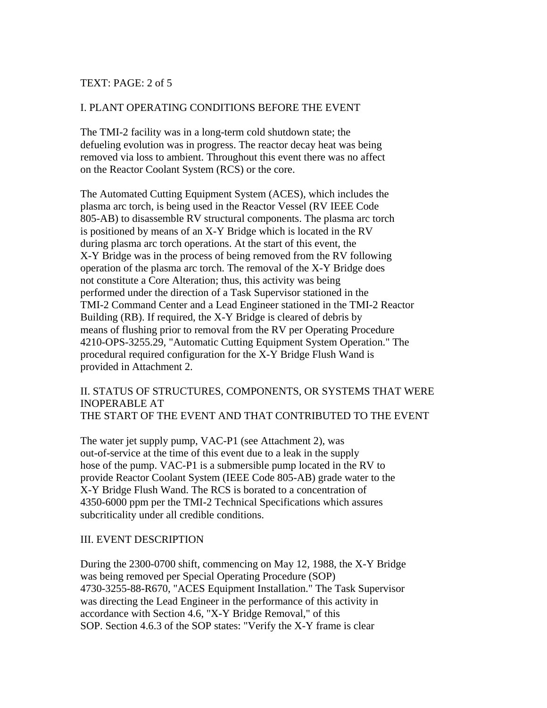### TEXT: PAGE: 2 of 5

## I. PLANT OPERATING CONDITIONS BEFORE THE EVENT

The TMI-2 facility was in a long-term cold shutdown state; the defueling evolution was in progress. The reactor decay heat was being removed via loss to ambient. Throughout this event there was no affect on the Reactor Coolant System (RCS) or the core.

The Automated Cutting Equipment System (ACES), which includes the plasma arc torch, is being used in the Reactor Vessel (RV IEEE Code 805-AB) to disassemble RV structural components. The plasma arc torch is positioned by means of an X-Y Bridge which is located in the RV during plasma arc torch operations. At the start of this event, the X-Y Bridge was in the process of being removed from the RV following operation of the plasma arc torch. The removal of the X-Y Bridge does not constitute a Core Alteration; thus, this activity was being performed under the direction of a Task Supervisor stationed in the TMI-2 Command Center and a Lead Engineer stationed in the TMI-2 Reactor Building (RB). If required, the X-Y Bridge is cleared of debris by means of flushing prior to removal from the RV per Operating Procedure 4210-OPS-3255.29, "Automatic Cutting Equipment System Operation." The procedural required configuration for the X-Y Bridge Flush Wand is provided in Attachment 2.

### II. STATUS OF STRUCTURES, COMPONENTS, OR SYSTEMS THAT WERE INOPERABLE AT THE START OF THE EVENT AND THAT CONTRIBUTED TO THE EVENT

The water jet supply pump, VAC-P1 (see Attachment 2), was out-of-service at the time of this event due to a leak in the supply hose of the pump. VAC-P1 is a submersible pump located in the RV to provide Reactor Coolant System (IEEE Code 805-AB) grade water to the X-Y Bridge Flush Wand. The RCS is borated to a concentration of 4350-6000 ppm per the TMI-2 Technical Specifications which assures subcriticality under all credible conditions.

### III. EVENT DESCRIPTION

During the 2300-0700 shift, commencing on May 12, 1988, the X-Y Bridge was being removed per Special Operating Procedure (SOP) 4730-3255-88-R670, "ACES Equipment Installation." The Task Supervisor was directing the Lead Engineer in the performance of this activity in accordance with Section 4.6, "X-Y Bridge Removal," of this SOP. Section 4.6.3 of the SOP states: "Verify the X-Y frame is clear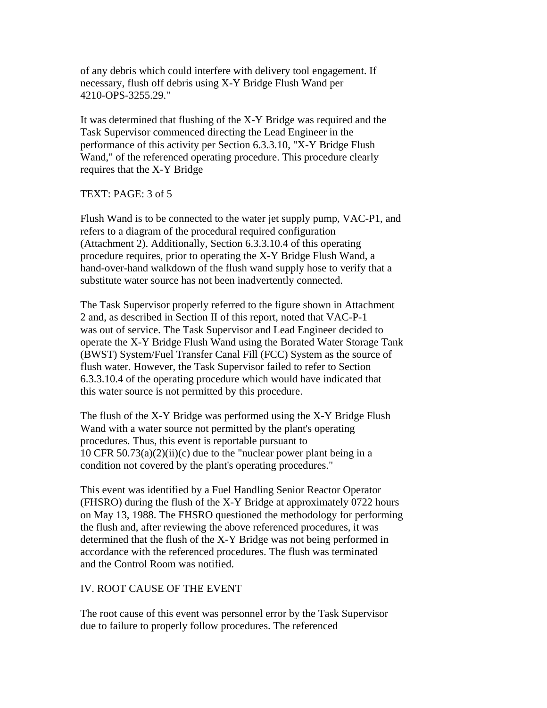of any debris which could interfere with delivery tool engagement. If necessary, flush off debris using X-Y Bridge Flush Wand per 4210-OPS-3255.29."

It was determined that flushing of the X-Y Bridge was required and the Task Supervisor commenced directing the Lead Engineer in the performance of this activity per Section 6.3.3.10, "X-Y Bridge Flush Wand," of the referenced operating procedure. This procedure clearly requires that the X-Y Bridge

### TEXT: PAGE: 3 of 5

Flush Wand is to be connected to the water jet supply pump, VAC-P1, and refers to a diagram of the procedural required configuration (Attachment 2). Additionally, Section 6.3.3.10.4 of this operating procedure requires, prior to operating the X-Y Bridge Flush Wand, a hand-over-hand walkdown of the flush wand supply hose to verify that a substitute water source has not been inadvertently connected.

The Task Supervisor properly referred to the figure shown in Attachment 2 and, as described in Section II of this report, noted that VAC-P-1 was out of service. The Task Supervisor and Lead Engineer decided to operate the X-Y Bridge Flush Wand using the Borated Water Storage Tank (BWST) System/Fuel Transfer Canal Fill (FCC) System as the source of flush water. However, the Task Supervisor failed to refer to Section 6.3.3.10.4 of the operating procedure which would have indicated that this water source is not permitted by this procedure.

The flush of the X-Y Bridge was performed using the X-Y Bridge Flush Wand with a water source not permitted by the plant's operating procedures. Thus, this event is reportable pursuant to 10 CFR  $50.73(a)(2)(ii)(c)$  due to the "nuclear power plant being in a condition not covered by the plant's operating procedures."

This event was identified by a Fuel Handling Senior Reactor Operator (FHSRO) during the flush of the X-Y Bridge at approximately 0722 hours on May 13, 1988. The FHSRO questioned the methodology for performing the flush and, after reviewing the above referenced procedures, it was determined that the flush of the X-Y Bridge was not being performed in accordance with the referenced procedures. The flush was terminated and the Control Room was notified.

#### IV. ROOT CAUSE OF THE EVENT

The root cause of this event was personnel error by the Task Supervisor due to failure to properly follow procedures. The referenced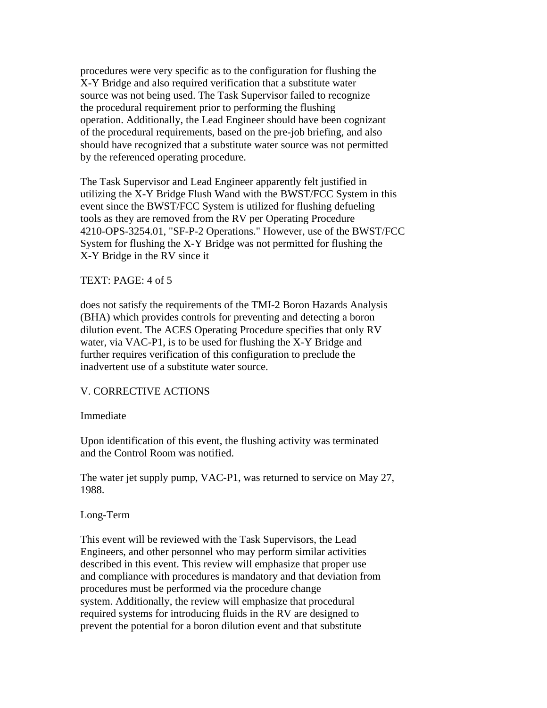procedures were very specific as to the configuration for flushing the X-Y Bridge and also required verification that a substitute water source was not being used. The Task Supervisor failed to recognize the procedural requirement prior to performing the flushing operation. Additionally, the Lead Engineer should have been cognizant of the procedural requirements, based on the pre-job briefing, and also should have recognized that a substitute water source was not permitted by the referenced operating procedure.

The Task Supervisor and Lead Engineer apparently felt justified in utilizing the X-Y Bridge Flush Wand with the BWST/FCC System in this event since the BWST/FCC System is utilized for flushing defueling tools as they are removed from the RV per Operating Procedure 4210-OPS-3254.01, "SF-P-2 Operations." However, use of the BWST/FCC System for flushing the X-Y Bridge was not permitted for flushing the X-Y Bridge in the RV since it

### TEXT: PAGE: 4 of 5

does not satisfy the requirements of the TMI-2 Boron Hazards Analysis (BHA) which provides controls for preventing and detecting a boron dilution event. The ACES Operating Procedure specifies that only RV water, via VAC-P1, is to be used for flushing the X-Y Bridge and further requires verification of this configuration to preclude the inadvertent use of a substitute water source.

### V. CORRECTIVE ACTIONS

#### Immediate

Upon identification of this event, the flushing activity was terminated and the Control Room was notified.

The water jet supply pump, VAC-P1, was returned to service on May 27, 1988.

#### Long-Term

This event will be reviewed with the Task Supervisors, the Lead Engineers, and other personnel who may perform similar activities described in this event. This review will emphasize that proper use and compliance with procedures is mandatory and that deviation from procedures must be performed via the procedure change system. Additionally, the review will emphasize that procedural required systems for introducing fluids in the RV are designed to prevent the potential for a boron dilution event and that substitute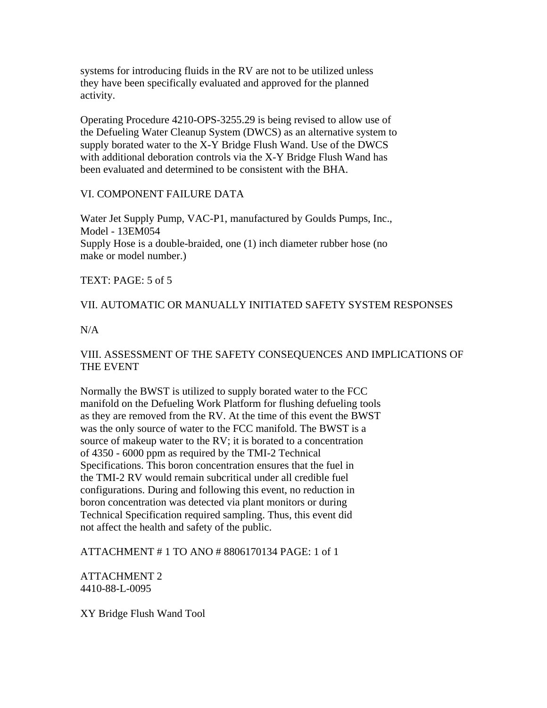systems for introducing fluids in the RV are not to be utilized unless they have been specifically evaluated and approved for the planned activity.

Operating Procedure 4210-OPS-3255.29 is being revised to allow use of the Defueling Water Cleanup System (DWCS) as an alternative system to supply borated water to the X-Y Bridge Flush Wand. Use of the DWCS with additional deboration controls via the X-Y Bridge Flush Wand has been evaluated and determined to be consistent with the BHA.

### VI. COMPONENT FAILURE DATA

Water Jet Supply Pump, VAC-P1, manufactured by Goulds Pumps, Inc., Model - 13EM054 Supply Hose is a double-braided, one (1) inch diameter rubber hose (no make or model number.)

TEXT: PAGE: 5 of 5

### VII. AUTOMATIC OR MANUALLY INITIATED SAFETY SYSTEM RESPONSES

### N/A

# VIII. ASSESSMENT OF THE SAFETY CONSEQUENCES AND IMPLICATIONS OF THE EVENT

Normally the BWST is utilized to supply borated water to the FCC manifold on the Defueling Work Platform for flushing defueling tools as they are removed from the RV. At the time of this event the BWST was the only source of water to the FCC manifold. The BWST is a source of makeup water to the RV; it is borated to a concentration of 4350 - 6000 ppm as required by the TMI-2 Technical Specifications. This boron concentration ensures that the fuel in the TMI-2 RV would remain subcritical under all credible fuel configurations. During and following this event, no reduction in boron concentration was detected via plant monitors or during Technical Specification required sampling. Thus, this event did not affect the health and safety of the public.

ATTACHMENT # 1 TO ANO # 8806170134 PAGE: 1 of 1

ATTACHMENT 2 4410-88-L-0095

XY Bridge Flush Wand Tool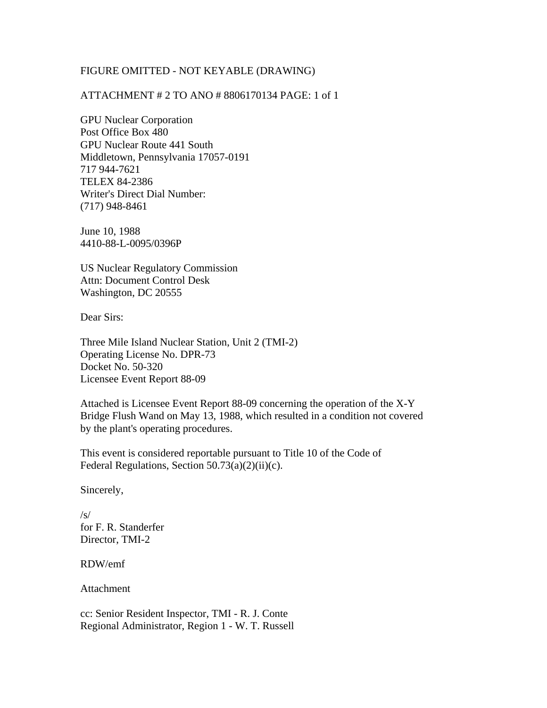### FIGURE OMITTED - NOT KEYABLE (DRAWING)

## ATTACHMENT # 2 TO ANO # 8806170134 PAGE: 1 of 1

GPU Nuclear Corporation Post Office Box 480 GPU Nuclear Route 441 South Middletown, Pennsylvania 17057-0191 717 944-7621 TELEX 84-2386 Writer's Direct Dial Number: (717) 948-8461

June 10, 1988 4410-88-L-0095/0396P

US Nuclear Regulatory Commission Attn: Document Control Desk Washington, DC 20555

Dear Sirs:

Three Mile Island Nuclear Station, Unit 2 (TMI-2) Operating License No. DPR-73 Docket No. 50-320 Licensee Event Report 88-09

Attached is Licensee Event Report 88-09 concerning the operation of the X-Y Bridge Flush Wand on May 13, 1988, which resulted in a condition not covered by the plant's operating procedures.

This event is considered reportable pursuant to Title 10 of the Code of Federal Regulations, Section  $50.73(a)(2)(ii)(c)$ .

Sincerely,

 $/s/$ for F. R. Standerfer Director, TMI-2

RDW/emf

Attachment

cc: Senior Resident Inspector, TMI - R. J. Conte Regional Administrator, Region 1 - W. T. Russell